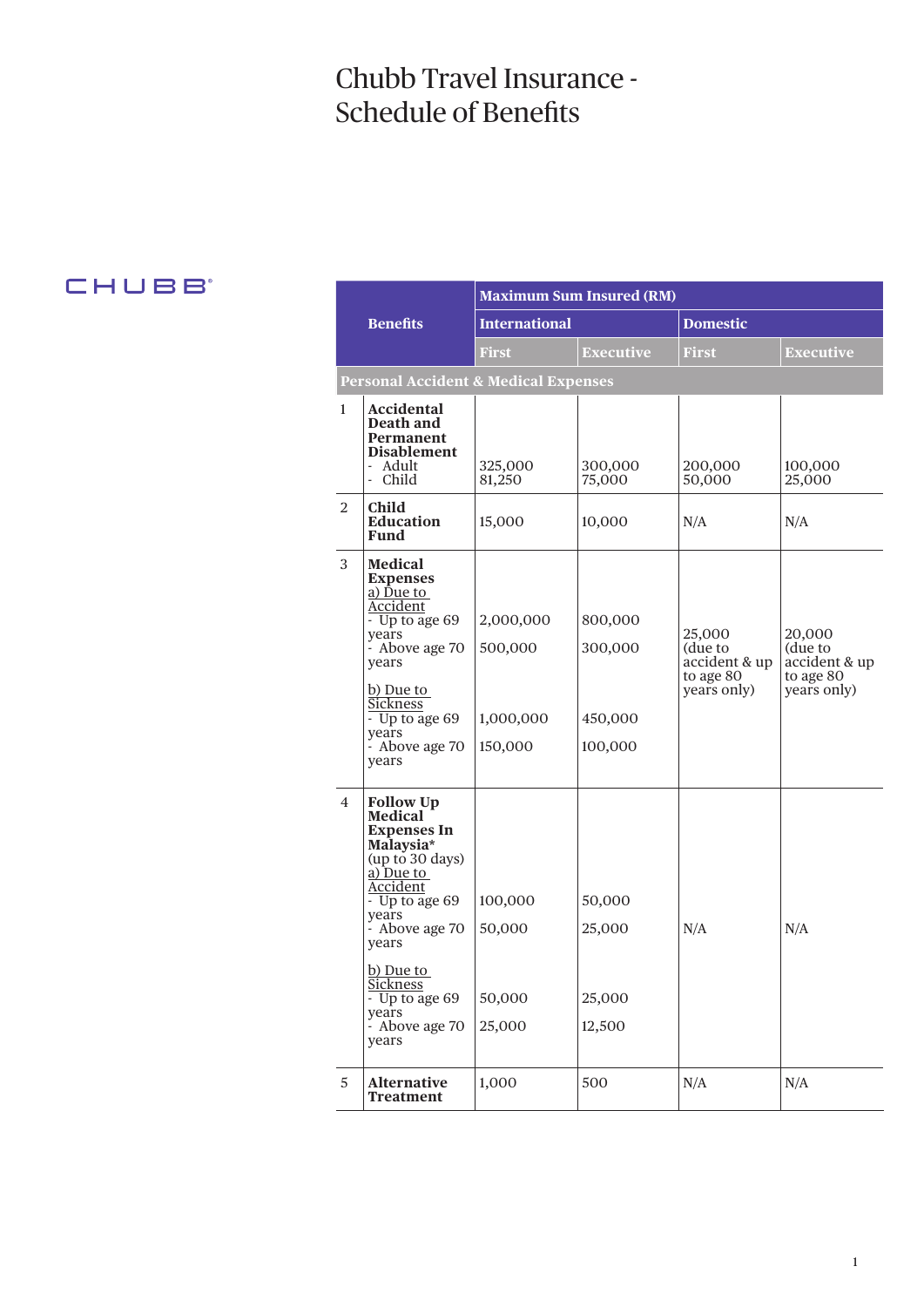# Chubb Travel Insurance - Schedule of Benefits

# CHUBB

|                |                                                                                                                                                                                                                                                                                        | <b>Maximum Sum Insured (RM)</b>              |                                          |                                                                |                                                                |  |  |  |
|----------------|----------------------------------------------------------------------------------------------------------------------------------------------------------------------------------------------------------------------------------------------------------------------------------------|----------------------------------------------|------------------------------------------|----------------------------------------------------------------|----------------------------------------------------------------|--|--|--|
|                | <b>Benefits</b>                                                                                                                                                                                                                                                                        | <b>International</b>                         |                                          | <b>Domestic</b>                                                |                                                                |  |  |  |
|                |                                                                                                                                                                                                                                                                                        | First                                        | <b>Executive</b>                         | <b>First</b>                                                   | <b>Executive</b>                                               |  |  |  |
|                | <b>Personal Accident &amp; Medical Expenses</b>                                                                                                                                                                                                                                        |                                              |                                          |                                                                |                                                                |  |  |  |
| $\mathbf{1}$   | Accidental<br>Death and<br>Permanent<br><b>Disablement</b><br>- Adult<br>- Child                                                                                                                                                                                                       | 325,000<br>81,250                            | 300,000<br>75,000                        | 200,000<br>50,000                                              | 100,000<br>25,000                                              |  |  |  |
| 2              | Child<br><b>Education</b><br>Fund                                                                                                                                                                                                                                                      | 15,000                                       | 10,000                                   | N/A                                                            | N/A                                                            |  |  |  |
| 3              | <b>Medical</b><br><b>Expenses</b><br>a) Due to<br>Accident<br>- Up to age 69<br>years<br>- Above age 70<br>years<br>b) Due to<br><b>Sickness</b><br>- Up to age 69<br>vears<br>- Above age 70<br>years                                                                                 | 2,000,000<br>500,000<br>1,000,000<br>150,000 | 800,000<br>300,000<br>450,000<br>100,000 | 25,000<br>(due to<br>accident & up<br>to age 80<br>years only) | 20,000<br>(due to<br>accident & up<br>to age 80<br>years only) |  |  |  |
| $\overline{4}$ | <b>Follow Up</b><br><b>Medical</b><br><b>Expenses In</b><br>Malaysia*<br>(up to 30 days)<br>a) Due to<br>Accident<br>$-$ Up to age 69<br>years<br>- Above age 70<br>years<br>b) Due to<br><u>Sickness</u><br>$\overline{\phantom{0}}$ Up to age 69<br>years<br>- Above age 70<br>years | 100,000<br>50,000<br>50,000<br>25,000        | 50,000<br>25,000<br>25,000<br>12,500     | N/A                                                            | N/A                                                            |  |  |  |
| $\sqrt{5}$     | <b>Alternative</b><br><b>Treatment</b>                                                                                                                                                                                                                                                 | 1,000                                        | 500                                      | N/A                                                            | N/A                                                            |  |  |  |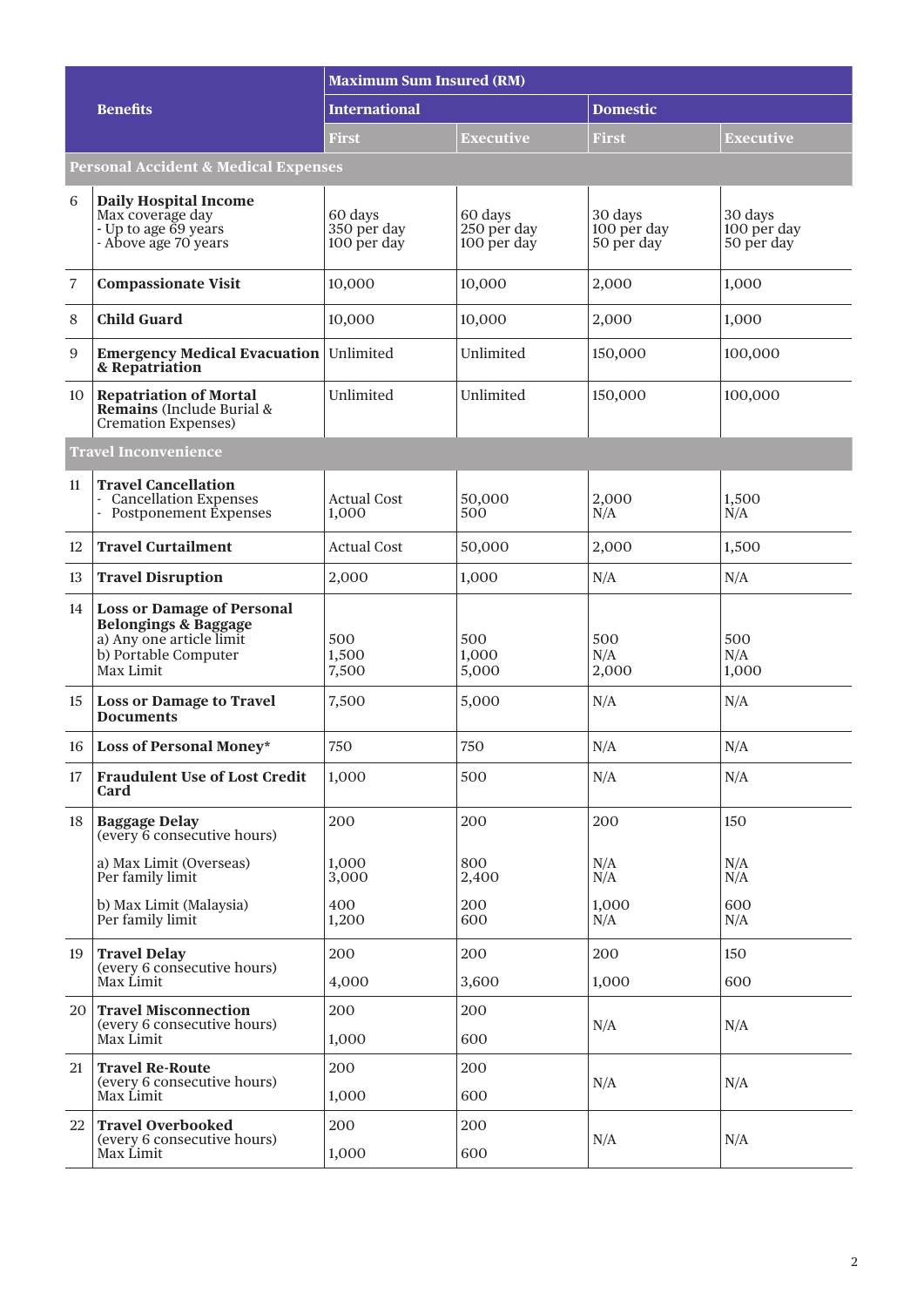|                                                 |                                                                                                                                       | <b>Maximum Sum Insured (RM)</b>       |                                       |                                      |                                      |  |  |
|-------------------------------------------------|---------------------------------------------------------------------------------------------------------------------------------------|---------------------------------------|---------------------------------------|--------------------------------------|--------------------------------------|--|--|
|                                                 | <b>Benefits</b>                                                                                                                       | <b>International</b>                  |                                       | <b>Domestic</b>                      |                                      |  |  |
|                                                 |                                                                                                                                       | <b>First</b>                          | Executive                             | <b>First</b>                         | Executive                            |  |  |
| <b>Personal Accident &amp; Medical Expenses</b> |                                                                                                                                       |                                       |                                       |                                      |                                      |  |  |
| 6                                               | <b>Daily Hospital Income</b><br>Max coverage day<br>- Up to age 69 years<br>- Above age 70 years                                      | 60 days<br>350 per day<br>100 per day | 60 days<br>250 per day<br>100 per day | 30 days<br>100 per day<br>50 per day | 30 days<br>100 per day<br>50 per day |  |  |
| 7                                               | <b>Compassionate Visit</b>                                                                                                            | 10,000                                | 10,000                                | 2,000                                | 1,000                                |  |  |
| 8                                               | <b>Child Guard</b>                                                                                                                    | 10,000                                | 10,000                                | 2,000                                | 1,000                                |  |  |
| 9                                               | <b>Emergency Medical Evacuation</b><br>& Repatriation                                                                                 | Unlimited                             | Unlimited                             | 150,000                              | 100,000                              |  |  |
| 10                                              | <b>Repatriation of Mortal</b><br>Remains (Include Burial &<br><b>Cremation Expenses)</b>                                              | Unlimited                             | Unlimited                             | 150,000                              | 100,000                              |  |  |
|                                                 | <b>Travel Inconvenience</b>                                                                                                           |                                       |                                       |                                      |                                      |  |  |
| 11                                              | <b>Travel Cancellation</b><br><b>Cancellation Expenses</b><br>- Postponement Expenses                                                 | <b>Actual Cost</b><br>1,000           | 50,000<br>500                         | 2,000<br>N/A                         | 1,500<br>N/A                         |  |  |
| 12                                              | <b>Travel Curtailment</b>                                                                                                             | <b>Actual Cost</b>                    | 50,000                                | 2,000                                | 1,500                                |  |  |
| 13                                              | <b>Travel Disruption</b>                                                                                                              | 2,000                                 | 1,000                                 | N/A                                  | N/A                                  |  |  |
| 14                                              | <b>Loss or Damage of Personal</b><br><b>Belongings &amp; Baggage</b><br>a) Any one article limit<br>b) Portable Computer<br>Max Limit | 500<br>1,500<br>7,500                 | 500<br>1,000<br>5,000                 | 500<br>N/A<br>2,000                  | 500<br>N/A<br>1,000                  |  |  |
| 15                                              | <b>Loss or Damage to Travel</b><br><b>Documents</b>                                                                                   | 7,500                                 | 5,000                                 | N/A                                  | N/A                                  |  |  |
| 16                                              | Loss of Personal Money*                                                                                                               | 750                                   | 750                                   | N/A                                  | N/A                                  |  |  |
| 17                                              | <b>Fraudulent Use of Lost Credit</b><br>Card                                                                                          | 1,000                                 | 500                                   | N/A                                  | N/A                                  |  |  |
| 18                                              | <b>Baggage Delay</b><br>(every 6 consecutive hours)                                                                                   | 200                                   | 200                                   | 200                                  | 150                                  |  |  |
|                                                 | a) Max Limit (Overseas)<br>Per family limit                                                                                           | 1,000<br>3,000                        | 800<br>2,400                          | N/A<br>N/A                           | N/A<br>N/A                           |  |  |
|                                                 | b) Max Limit (Malaysia)<br>Per family limit                                                                                           | 400<br>1,200                          | 200<br>600                            | 1,000<br>N/A                         | 600<br>N/A                           |  |  |
| 19                                              | <b>Travel Delay</b><br>(every 6 consecutive hours)                                                                                    | 200                                   | 200                                   | 200                                  | 150                                  |  |  |
|                                                 | Max Limit                                                                                                                             | 4,000                                 | 3,600                                 | 1,000                                | 600                                  |  |  |
| 20                                              | <b>Travel Misconnection</b><br>(every 6 consecutive hours)<br>Max Limit                                                               | 200<br>1,000                          | 200<br>600                            | N/A                                  | N/A                                  |  |  |
| 21                                              | <b>Travel Re-Route</b><br>(every 6 consecutive hours)                                                                                 | 200                                   | 200                                   | N/A                                  | N/A                                  |  |  |
|                                                 | Max Limit                                                                                                                             | 1,000                                 | 600                                   |                                      |                                      |  |  |
| 22                                              | <b>Travel Overbooked</b><br>(every 6 consecutive hours)<br>Max Limit                                                                  | 200<br>1,000                          | 200<br>600                            | N/A                                  | N/A                                  |  |  |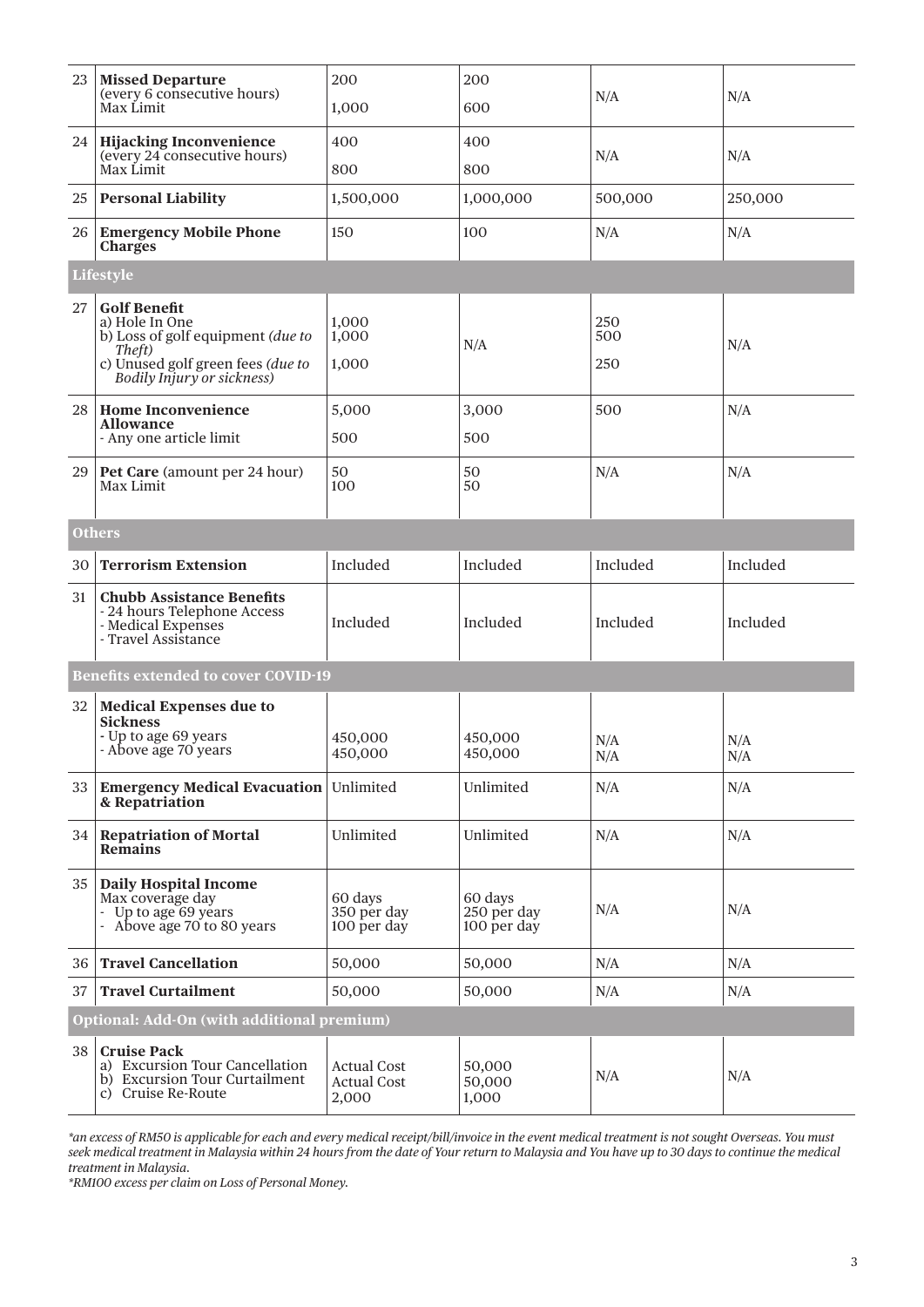| 23 | <b>Missed Departure</b><br>(every 6 consecutive hours)<br>Max Limit                                                                                     | 200                                               | 200<br>600                            | N/A               | N/A        |
|----|---------------------------------------------------------------------------------------------------------------------------------------------------------|---------------------------------------------------|---------------------------------------|-------------------|------------|
|    |                                                                                                                                                         | 1,000                                             |                                       |                   |            |
|    | 24 Hijacking Inconvenience<br>(every 24 consecutive hours)                                                                                              | 400                                               | 400                                   | N/A               | N/A        |
|    | Max Limit                                                                                                                                               | 800                                               | 800                                   |                   |            |
| 25 | <b>Personal Liability</b>                                                                                                                               | 1,500,000                                         | 1,000,000                             | 500,000           | 250,000    |
|    | 26 Emergency Mobile Phone<br><b>Charges</b>                                                                                                             | 150                                               | 100                                   | N/A               | N/A        |
|    | Lifestyle                                                                                                                                               |                                                   |                                       |                   |            |
| 27 | <b>Golf Benefit</b><br>a) Hole In One<br>b) Loss of golf equipment (due to<br>Theft)<br>c) Unused golf green fees (due to<br>Bodily Injury or sickness) | 1,000<br>1,000<br>1,000                           | N/A                                   | 250<br>500<br>250 | N/A        |
| 28 | <b>Home Inconvenience</b>                                                                                                                               | 5,000                                             | 3,000                                 | 500               | N/A        |
|    | <b>Allowance</b><br>- Any one article limit                                                                                                             | 500                                               | 500                                   |                   |            |
| 29 | Pet Care (amount per 24 hour)<br>Max Limit                                                                                                              | 50<br>100                                         | 50<br>50                              | N/A               | N/A        |
|    | <b>Others</b>                                                                                                                                           |                                                   |                                       |                   |            |
| 30 | <b>Terrorism Extension</b>                                                                                                                              | Included                                          | Included                              | Included          | Included   |
| 31 | <b>Chubb Assistance Benefits</b><br>- 24 hours Telephone Access<br>- Medical Expenses<br>- Travel Assistance                                            | Included                                          | Included                              | Included          | Included   |
|    | <b>Benefits extended to cover COVID-19</b>                                                                                                              |                                                   |                                       |                   |            |
| 32 | <b>Medical Expenses due to</b><br><b>Sickness</b><br>- Up to age 69 years<br>- Above age 70 years                                                       | 450,000<br>450,000                                | 450,000<br>450,000                    | N/A<br>N/A        | N/A<br>N/A |
|    | 33   Emergency Medical Evacuation   Unlimited<br>& Repatriation                                                                                         |                                                   | Unlimited                             | N/A               | N/A        |
|    | 34 Repatriation of Mortal<br><b>Remains</b>                                                                                                             | Unlimited                                         | Unlimited                             | N/A               | N/A        |
| 35 | <b>Daily Hospital Income</b><br>Max coverage day<br>- Up to age 69 years<br>Above age 70 to 80 years                                                    | 60 days<br>350 per day<br>100 per day             | 60 days<br>250 per day<br>100 per day | N/A               | N/A        |
| 36 | <b>Travel Cancellation</b>                                                                                                                              | 50,000                                            | 50,000                                | N/A               | N/A        |
| 37 | <b>Travel Curtailment</b>                                                                                                                               | 50,000                                            | 50,000                                | N/A               | N/A        |
|    | Optional: Add-On (with additional premium)                                                                                                              |                                                   |                                       |                   |            |
| 38 | <b>Cruise Pack</b><br>a) Excursion Tour Cancellation<br>b) Excursion Tour Curtailment<br>c) Cruise Re-Route                                             | <b>Actual Cost</b><br><b>Actual Cost</b><br>2,000 | 50,000<br>50,000<br>1,000             | N/A               | N/A        |

*\*an excess of RM50 is applicable for each and every medical receipt/bill/invoice in the event medical treatment is not sought Overseas. You must seek medical treatment in Malaysia within 24 hours from the date of Your return to Malaysia and You have up to 30 days to continue the medical treatment in Malaysia.*

*\*RM100 excess per claim on Loss of Personal Money.*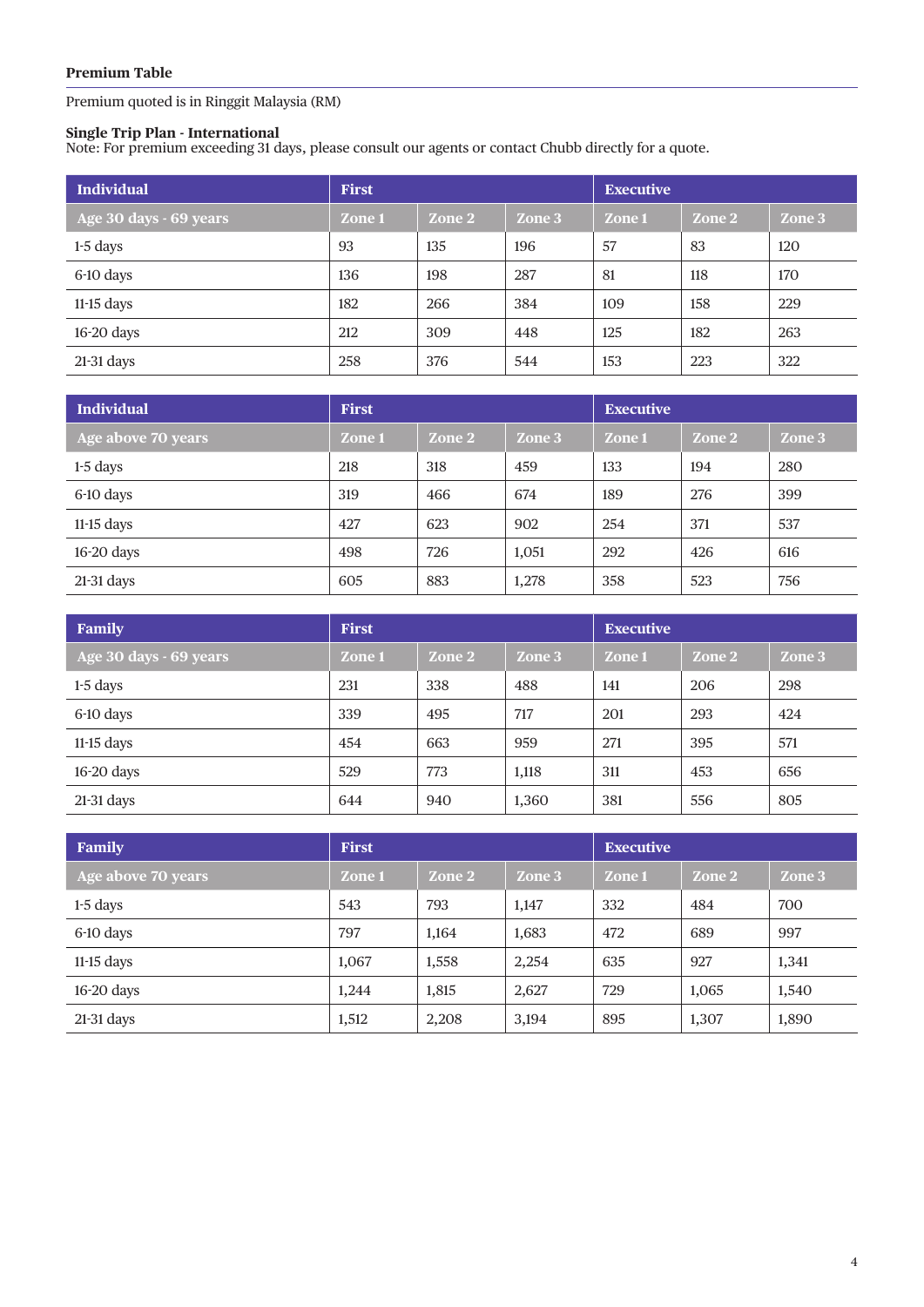Premium quoted is in Ringgit Malaysia (RM)

#### **Single Trip Plan - International**

Note: For premium exceeding 31 days, please consult our agents or contact Chubb directly for a quote.

| <b>Individual</b>      | <b>First</b> |        |        | <b>Executive</b> |        |        |
|------------------------|--------------|--------|--------|------------------|--------|--------|
| Age 30 days - 69 years | Zone 1       | Zone 2 | Zone 3 | Zone 1           | Zone 2 | Zone 3 |
| $1-5$ days             | 93           | 135    | 196    | 57               | 83     | 120    |
| 6-10 days              | 136          | 198    | 287    | 81               | 118    | 170    |
| $11-15$ days           | 182          | 266    | 384    | 109              | 158    | 229    |
| $16-20$ days           | 212          | 309    | 448    | 125              | 182    | 263    |
| $21-31$ days           | 258          | 376    | 544    | 153              | 223    | 322    |

| <b>Individual</b>  | <b>First</b> |        |        | <b>Executive</b> |        |        |
|--------------------|--------------|--------|--------|------------------|--------|--------|
| Age above 70 years | Zone 1       | Zone 2 | Zone 3 | Zone 1           | Zone 2 | Zone 3 |
| $1-5$ days         | 218          | 318    | 459    | 133              | 194    | 280    |
| 6-10 days          | 319          | 466    | 674    | 189              | 276    | 399    |
| $11-15$ days       | 427          | 623    | 902    | 254              | 371    | 537    |
| 16-20 days         | 498          | 726    | 1,051  | 292              | 426    | 616    |
| $21-31$ days       | 605          | 883    | 1,278  | 358              | 523    | 756    |

| Family                 | <b>First</b> |        |        | <b>Executive</b> |        |        |
|------------------------|--------------|--------|--------|------------------|--------|--------|
| Age 30 days - 69 years | Zone 1       | Zone 2 | Zone 3 | Zone 1           | Zone 2 | Zone 3 |
| $1-5$ days             | 231          | 338    | 488    | 141              | 206    | 298    |
| 6-10 days              | 339          | 495    | 717    | 201              | 293    | 424    |
| $11-15$ days           | 454          | 663    | 959    | 271              | 395    | 571    |
| 16-20 days             | 529          | 773    | 1,118  | 311              | 453    | 656    |
| $21-31$ days           | 644          | 940    | 1,360  | 381              | 556    | 805    |

| Family             | <b>First</b> |        | <b>Executive</b> |        |        |        |
|--------------------|--------------|--------|------------------|--------|--------|--------|
| Age above 70 years | Zone 1       | Zone 2 | Zone 3           | Zone 1 | Zone 2 | Zone 3 |
| $1-5$ days         | 543          | 793    | 1,147            | 332    | 484    | 700    |
| 6-10 days          | 797          | 1,164  | 1,683            | 472    | 689    | 997    |
| $11-15$ days       | 1,067        | 1,558  | 2,254            | 635    | 927    | 1,341  |
| $16-20$ days       | 1,244        | 1,815  | 2,627            | 729    | 1,065  | 1,540  |
| $21-31$ days       | 1,512        | 2,208  | 3,194            | 895    | 1,307  | 1,890  |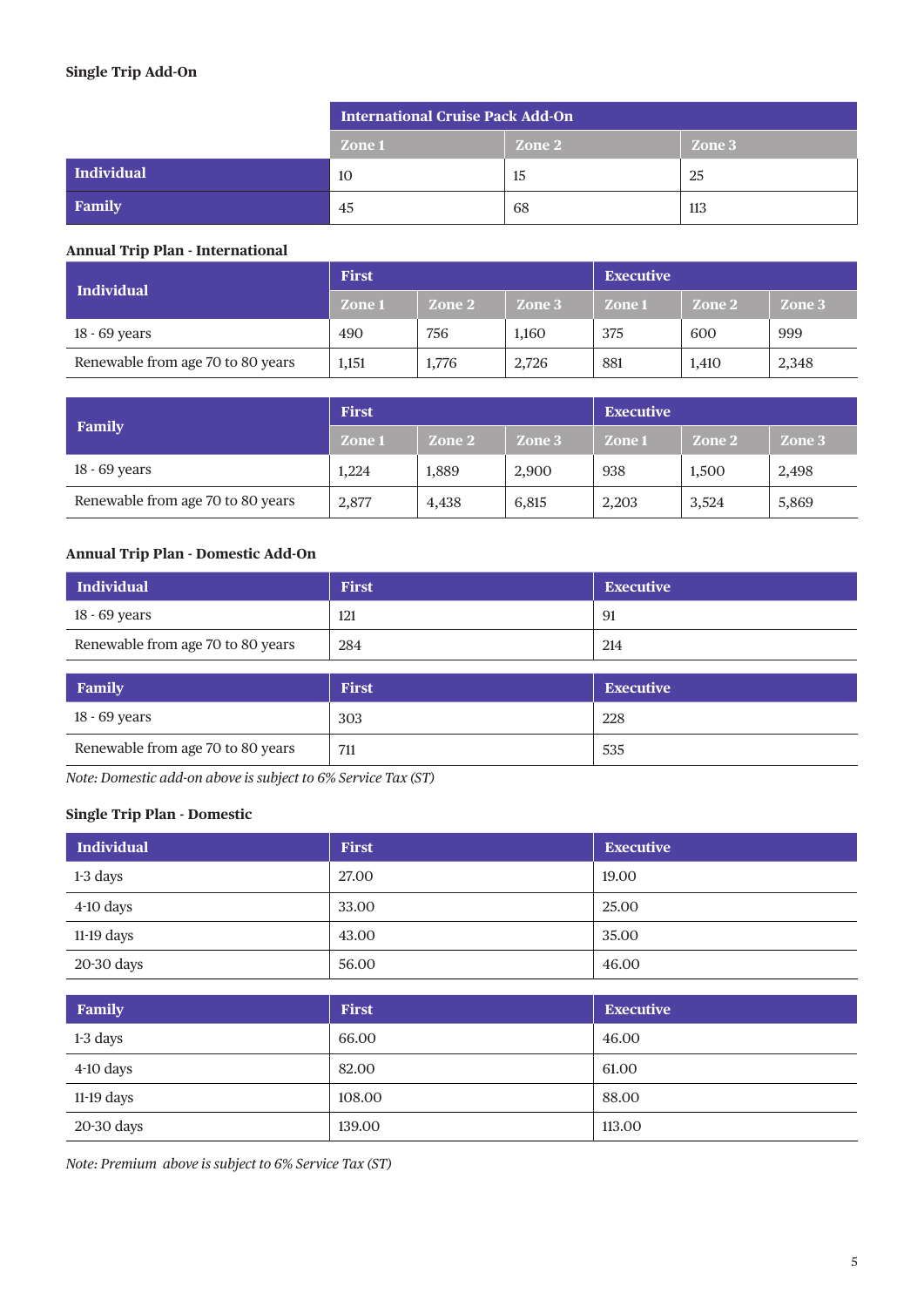### **Single Trip Add-On**

|            | <b>International Cruise Pack Add-On</b> |        |        |  |  |
|------------|-----------------------------------------|--------|--------|--|--|
|            | <b>Zone 1</b>                           | Zone 2 | Zone 3 |  |  |
| Individual | 10                                      | 15     | 25     |  |  |
| Family     | 45                                      | -68    | 113    |  |  |

### **Annual Trip Plan - International**

| Individual                        | <b>First</b>  |        |        | <b>Executive</b> |        |        |
|-----------------------------------|---------------|--------|--------|------------------|--------|--------|
|                                   | <b>Zone 1</b> | Zone 2 | Zone 3 | Zone 1           | Zone 2 | Zone 3 |
| 18 - 69 years                     | 490           | 756    | 1.160  | 375              | 600    | 999    |
| Renewable from age 70 to 80 years | 1,151         | 1,776  | 2,726  | 881              | 1,410  | 2,348  |

|                                   | <b>First</b>  |        |        | <b>Executive</b> |        |        |
|-----------------------------------|---------------|--------|--------|------------------|--------|--------|
| <b>Family</b>                     | <b>Zone 1</b> | Zone 2 | Zone 3 | Zone 1           | Zone 2 | Zone 3 |
| 18 - 69 years                     | 1,224         | 1.889  | 2,900  | 938              | 1,500  | 2,498  |
| Renewable from age 70 to 80 years | 2,877         | 4,438  | 6,815  | 2,203            | 3,524  | 5,869  |

## **Annual Trip Plan - Domestic Add-On**

| <b>Individual</b>                 | <b>First</b> | <b>Executive</b> |  |
|-----------------------------------|--------------|------------------|--|
| 18 - 69 years                     | 121          | 91               |  |
| Renewable from age 70 to 80 years | 284          | 214              |  |
|                                   |              |                  |  |
| Family                            | <b>First</b> | <b>Executive</b> |  |
| 18 - 69 years                     | 303          | 228              |  |
| Renewable from age 70 to 80 years | 711          | 535              |  |

*Note: Domestic add-on above is subject to 6% Service Tax (ST)*

### **Single Trip Plan - Domestic**

| <b>Individual</b> | <b>First</b> | <b>Executive</b> |
|-------------------|--------------|------------------|
| 1-3 days          | 27.00        | 19.00            |
| $4-10$ days       | 33.00        | 25.00            |
| $11-19$ days      | 43.00        | 35.00            |
| 20-30 days        | 56.00        | 46.00            |

| Family       | <b>First</b> | <b>Executive</b> |
|--------------|--------------|------------------|
| 1-3 days     | 66.00        | 46.00            |
| $4-10$ days  | 82.00        | 61.00            |
| $11-19$ days | 108.00       | 88.00            |
| 20-30 days   | 139.00       | 113.00           |

*Note: Premium above is subject to 6% Service Tax (ST)*